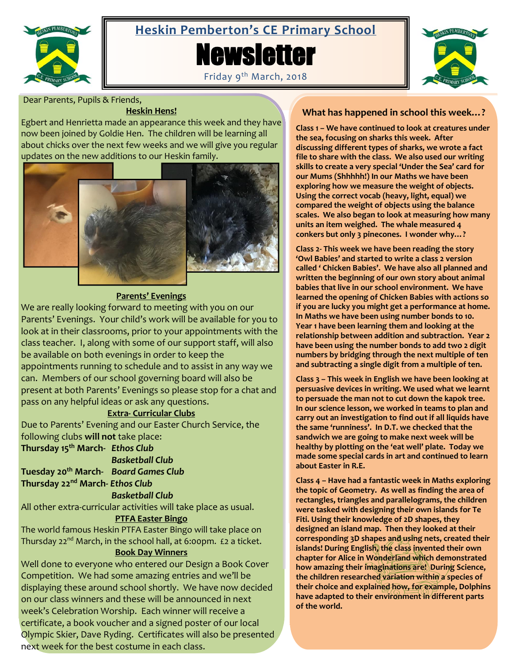

# **Heskin Pemberton's CE Primary School**





Friday 9<sup>th</sup> March, 2018

Dear Parents, Pupils & Friends,

#### **Heskin Hens!**

Egbert and Henrietta made an appearance this week and they have now been joined by Goldie Hen. The children will be learning all about chicks over the next few weeks and we will give you regular updates on the new additions to our Heskin family.



## **Parents' Evenings**

We are really looking forward to meeting with you on our Parents' Evenings. Your child's work will be available for you to look at in their classrooms, prior to your appointments with the class teacher. I, along with some of our support staff, will also be available on both evenings in order to keep the appointments running to schedule and to assist in any way we can. Members of our school governing board will also be present at both Parents' Evenings so please stop for a chat and pass on any helpful ideas or ask any questions.

#### **Extra- Curricular Clubs**

Due to Parents' Evening and our Easter Church Service, the following clubs **will not** take place:

**Thursday 15th March-** *Ethos Club*

*Basketball Club*

**Tuesday 20th March-** *Board Games Club*

**Thursday 22nd March***- Ethos Club*

#### *Basketball Club*

All other extra-curricular activities will take place as usual.

#### **PTFA Easter Bingo**

The world famous Heskin PTFA Easter Bingo will take place on Thursday 22<sup>nd</sup> March, in the school hall, at 6:00pm. £2 a ticket.

#### **Book Day Winners**

Well done to everyone who entered our Design a Book Cover Competition. We had some amazing entries and we'll be displaying these around school shortly. We have now decided on our class winners and these will be announced in next week's Celebration Worship. Each winner will receive a certificate, a book voucher and a signed poster of our local Olympic Skier, Dave Ryding. Certificates will also be presented next week for the best costume in each class.

# **What has happened in school this week…?**

**Class 1 – We have continued to look at creatures under the sea, focusing on sharks this week. After discussing different types of sharks, we wrote a fact file to share with the class. We also used our writing skills to create a very special 'Under the Sea' card for our Mums (Shhhhh!) In our Maths we have been exploring how we measure the weight of objects. Using the correct vocab (heavy, light, equal) we compared the weight of objects using the balance scales. We also began to look at measuring how many units an item weighed. The whale measured 4 conkers but only 3 pinecones. I wonder why…?**

**Class 2- This week we have been reading the story 'Owl Babies' and started to write a class 2 version called ' Chicken Babies'. We have also all planned and written the beginning of our own story about animal babies that live in our school environment. We have learned the opening of Chicken Babies with actions so if you are lucky you might get a performance at home. In Maths we have been using number bonds to 10. Year 1 have been learning them and looking at the relationship between addition and subtraction. Year 2 have been using the number bonds to add two 2 digit numbers by bridging through the next multiple of ten and subtracting a single digit from a multiple of ten.**

**Class 3 – This week in English we have been looking at persuasive devices in writing. We used what we learnt to persuade the man not to cut down the kapok tree. In our science lesson, we worked in teams to plan and carry out an investigation to find out if all liquids have the same 'runniness'. In D.T. we checked that the sandwich we are going to make next week will be healthy by plotting on the 'eat well' plate. Today we made some special cards in art and continued to learn about Easter in R.E.**

**Class 4 – Have had a fantastic week in Maths exploring the topic of Geometry. As well as finding the area of rectangles, triangles and parallelograms, the children were tasked with designing their own islands for Te Fiti. Using their knowledge of 2D shapes, they designed an island map. Then they looked at their corresponding 3D shapes and using nets, created their islands! During English, the class invented their own chapter for Alice in Wonderland which demonstrated how amazing their imaginations are! During Science, the children researched variation within a species of their choice and explained how, for example, Dolphins have adapted to their environment in different parts of the world.**